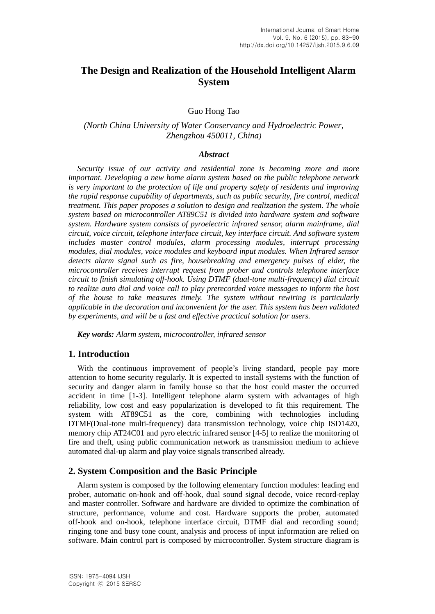# **The Design and Realization of the Household Intelligent Alarm System**

Guo Hong Tao

## *(North China University of Water Conservancy and Hydroelectric Power, Zhengzhou 450011, China)*

#### *Abstract*

*Security issue of our activity and residential zone is becoming more and more important. Developing a new home alarm system based on the public telephone network is very important to the protection of life and property safety of residents and improving the rapid response capability of departments, such as public security, fire control, medical treatment. This paper proposes a solution to design and realization the system. The whole system based on microcontroller AT89C51 is divided into hardware system and software system. Hardware system consists of pyroelectric infrared sensor, alarm mainframe, dial circuit, voice circuit, telephone interface circuit, key interface circuit. And software system includes master control modules, alarm processing modules, interrupt processing modules, dial modules, voice modules and keyboard input modules. When Infrared sensor detects alarm signal such as fire, housebreaking and emergency pulses of elder, the microcontroller receives interrupt request from prober and controls telephone interface circuit to finish simulating off-hook. Using DTMF (dual-tone multi-frequency) dial circuit to realize auto dial and voice call to play prerecorded voice messages to inform the host of the house to take measures timely. The system without rewiring is particularly applicable in the decoration and inconvenient for the user. This system has been validated by experiments, and will be a fast and effective practical solution for users.*

*Key words: Alarm system, microcontroller, infrared sensor*

# **1. Introduction**

With the continuous improvement of people's living standard, people pay more attention to home security regularly. It is expected to install systems with the function of security and danger alarm in family house so that the host could master the occurred accident in time [1-3]. Intelligent telephone alarm system with advantages of high reliability, low cost and easy popularization is developed to fit this requirement. The system with AT89C51 as the core, combining with technologies including DTMF(Dual-tone multi-frequency) data transmission technology, voice chip ISD1420, memory chip AT24C01 and pyro electric infrared sensor [4-5] to realize the monitoring of fire and theft, using public communication network as transmission medium to achieve automated dial-up alarm and play voice signals transcribed already.

## **2. System Composition and the Basic Principle**

Alarm system is composed by the following elementary function modules: leading end prober, automatic on-hook and off-hook, dual sound signal decode, voice record-replay and master controller. Software and hardware are divided to optimize the combination of structure, performance, volume and cost. Hardware supports the prober, automated off-hook and on-hook, telephone interface circuit, DTMF dial and recording sound; ringing tone and busy tone count, analysis and process of input information are relied on software. Main control part is composed by microcontroller. System structure diagram is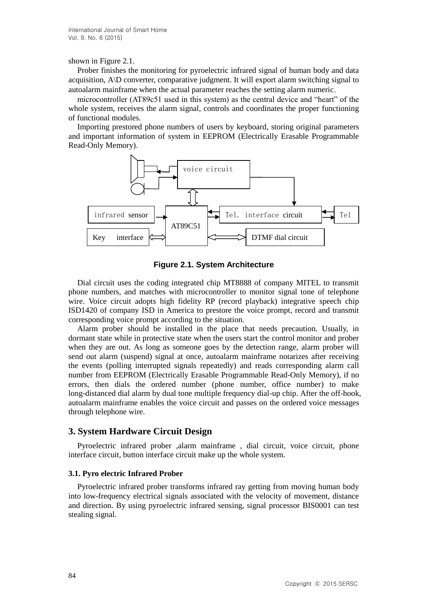#### shown in Figure 2.1.

Prober finishes the monitoring for pyroelectric infrared signal of human body and data acquisition, A\D converter, comparative judgment. It will export alarm switching signal to autoalarm mainframe when the actual parameter reaches the setting alarm numeric。

microcontroller (AT89c51 used in this system) as the central device and "heart" of the whole system, receives the alarm signal, controls and coordinates the proper functioning of functional modules.

Importing prestored phone numbers of users by keyboard, storing original parameters and important information of system in EEPROM (Electrically Erasable Programmable Read-Only Memory).



**Figure 2.1. System Architecture**

Dial circuit uses the coding integrated chip MT8888 of company MITEL to transmit phone numbers, and matches with microcontroller to monitor signal tone of telephone wire. Voice circuit adopts high fidelity RP (record playback) integrative speech chip ISD1420 of company ISD in America to prestore the voice prompt, record and transmit corresponding voice prompt according to the situation.

Alarm prober should be installed in the place that needs precaution. Usually, in dormant state while in protective state when the users start the control monitor and prober when they are out. As long as someone goes by the detection range, alarm prober will send out alarm (suspend) signal at once, autoalarm mainframe notarizes after receiving the events (polling interrupted signals repeatedly) and reads corresponding alarm call number from EEPROM (Electrically Erasable Programmable Read-Only Memory), if no errors, then dials the ordered number (phone number, office number) to make long-distanced dial alarm by dual tone multiple frequency dial-up chip. After the off-hook, autoalarm mainframe enables the voice circuit and passes on the ordered voice messages through telephone wire.

# **3. System Hardware Circuit Design**

Pyroelectric infrared prober , alarm mainframe, dial circuit, voice circuit, phone interface circuit, button interface circuit make up the whole system.

#### **3.1. Pyro electric Infrared Prober**

Pyroelectric infrared prober transforms infrared ray getting from moving human body into low-frequency electrical signals associated with the velocity of movement, distance and direction. By using pyroelectric infrared sensing, signal processor BIS0001 can test stealing signal.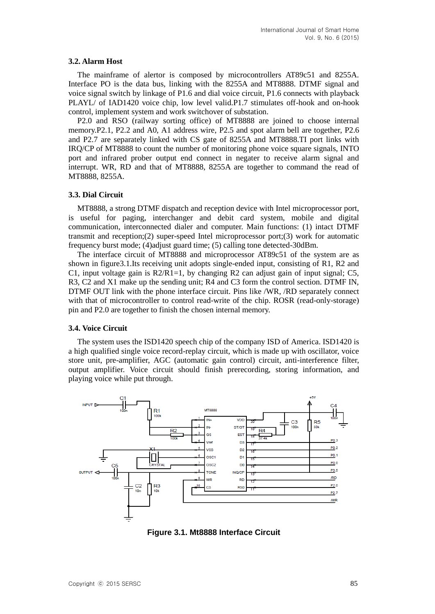#### **3.2. Alarm Host**

The mainframe of alertor is composed by microcontrollers AT89c51 and 8255A. Interface PO is the data bus, linking with the 8255A and MT8888. DTMF signal and voice signal switch by linkage of P1.6 and dial voice circuit, P1.6 connects with playback PLAYL/ of IAD1420 voice chip, low level valid.P1.7 stimulates off-hook and on-hook control, implement system and work switchover of substation.

P2.0 and RSO (railway sorting office) of MT8888 are joined to choose internal memory.P2.1, P2.2 and A0, A1 address wire, P2.5 and spot alarm bell are together, P2.6 and P2.7 are separately linked with CS gate of 8255A and MT8888.TI port links with IRQ/CP of MT8888 to count the number of monitoring phone voice square signals, INTO port and infrared prober output end connect in negater to receive alarm signal and interrupt. WR, RD and that of MT8888, 8255A are together to command the read of MT8888, 8255A.

#### **3.3. Dial Circuit**

MT8888, a strong DTMF dispatch and reception device with Intel microprocessor port, is useful for paging, interchanger and debit card system, mobile and digital communication, interconnected dialer and computer. Main functions: (1) intact DTMF transmit and reception;(2) super-speed Intel microprocessor port;(3) work for automatic frequency burst mode; (4)adjust guard time; (5) calling tone detected-30dBm.

The interface circuit of MT8888 and microprocessor AT89c51 of the system are as shown in figure3.1.Its receiving unit adopts single-ended input, consisting of R1, R2 and C1, input voltage gain is  $R2/R1=1$ , by changing R2 can adjust gain of input signal; C5, R3, C2 and X1 make up the sending unit; R4 and C3 form the control section. DTMF IN, DTMF OUT link with the phone interface circuit. Pins like /WR, /RD separately connect with that of microcontroller to control read-write of the chip. ROSR (read-only-storage) pin and P2.0 are together to finish the chosen internal memory.

#### **3.4. Voice Circuit**

The system uses the ISD1420 speech chip of the company ISD of America. ISD1420 is a high qualified single voice record-replay circuit, which is made up with oscillator, voice store unit, pre-amplifier, AGC (automatic gain control) circuit, anti-interference filter, output amplifier. Voice circuit should finish prerecording, storing information, and playing voice while put through.



**Figure 3.1. Mt8888 Interface Circuit**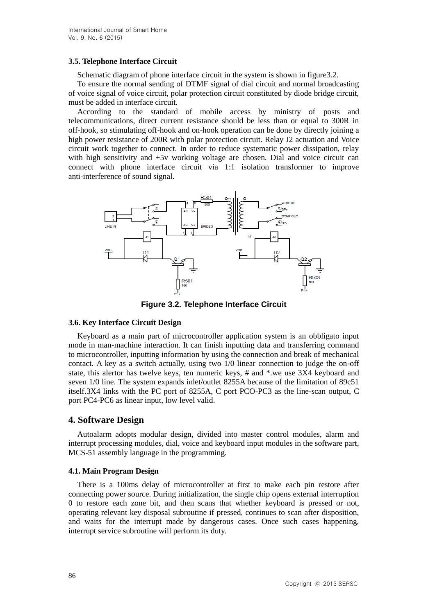### **3.5. Telephone Interface Circuit**

Schematic diagram of phone interface circuit in the system is shown in figure 3.2.

To ensure the normal sending of DTMF signal of dial circuit and normal broadcasting of voice signal of voice circuit, polar protection circuit constituted by diode bridge circuit, must be added in interface circuit.

According to the standard of mobile access by ministry of posts and telecommunications, direct current resistance should be less than or equal to 300R in off-hook, so stimulating off-hook and on-hook operation can be done by directly joining a high power resistance of 200R with polar protection circuit. Relay J2 actuation and Voice circuit work together to connect. In order to reduce systematic power dissipation, relay with high sensitivity and  $+5v$  working voltage are chosen. Dial and voice circuit can connect with phone interface circuit via 1:1 isolation transformer to improve anti-interference of sound signal.



**Figure 3.2. Telephone Interface Circuit**

#### **3.6. Key Interface Circuit Design**

Keyboard as a main part of microcontroller application system is an obbligato input mode in man-machine interaction. It can finish inputting data and transferring command to microcontroller, inputting information by using the connection and break of mechanical contact. A key as a switch actually, using two 1/0 linear connection to judge the on-off state, this alertor has twelve keys, ten numeric keys, # and \*.we use 3X4 keyboard and seven 1/0 line. The system expands inlet/outlet 8255A because of the limitation of 89c51 itself.3X4 links with the PC port of 8255A, C port PCO-PC3 as the line-scan output, C port PC4-PC6 as linear input, low level valid.

## **4. Software Design**

Autoalarm adopts modular design, divided into master control modules, alarm and interrupt processing modules, dial, voice and keyboard input modules in the software part, MCS-51 assembly language in the programming.

#### **4.1. Main Program Design**

There is a 100ms delay of microcontroller at first to make each pin restore after connecting power source. During initialization, the single chip opens external interruption 0 to restore each zone bit, and then scans that whether keyboard is pressed or not, operating relevant key disposal subroutine if pressed, continues to scan after disposition, and waits for the interrupt made by dangerous cases. Once such cases happening, interrupt service subroutine will perform its duty.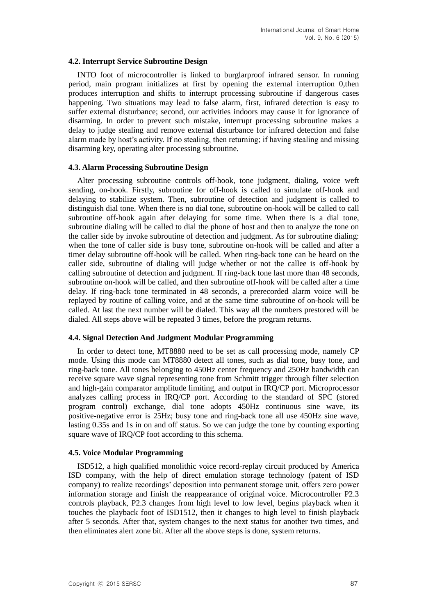#### **4.2. Interrupt Service Subroutine Design**

INTO foot of microcontroller is linked to burglarproof infrared sensor. In running period, main program initializes at first by opening the external interruption 0,then produces interruption and shifts to interrupt processing subroutine if dangerous cases happening. Two situations may lead to false alarm, first, infrared detection is easy to suffer external disturbance; second, our activities indoors may cause it for ignorance of disarming. In order to prevent such mistake, interrupt processing subroutine makes a delay to judge stealing and remove external disturbance for infrared detection and false alarm made by host's activity. If no stealing, then returning; if having stealing and missing disarming key, operating alter processing subroutine.

#### **4.3. Alarm Processing Subroutine Design**

Alter processing subroutine controls off-hook, tone judgment, dialing, voice weft sending, on-hook. Firstly, subroutine for off-hook is called to simulate off-hook and delaying to stabilize system. Then, subroutine of detection and judgment is called to distinguish dial tone. When there is no dial tone, subroutine on-hook will be called to call subroutine off-hook again after delaying for some time. When there is a dial tone, subroutine dialing will be called to dial the phone of host and then to analyze the tone on the caller side by invoke subroutine of detection and judgment. As for subroutine dialing: when the tone of caller side is busy tone, subroutine on-hook will be called and after a timer delay subroutine off-hook will be called. When ring-back tone can be heard on the caller side, subroutine of dialing will judge whether or not the callee is off-hook by calling subroutine of detection and judgment. If ring-back tone last more than 48 seconds, subroutine on-hook will be called, and then subroutine off-hook will be called after a time delay. If ring-back tone terminated in 48 seconds, a prerecorded alarm voice will be replayed by routine of calling voice, and at the same time subroutine of on-hook will be called. At last the next number will be dialed. This way all the numbers prestored will be dialed. All steps above will be repeated 3 times, before the program returns.

#### **4.4. Signal Detection And Judgment Modular Programming**

In order to detect tone, MT8880 need to be set as call processing mode, namely CP mode. Using this mode can MT8880 detect all tones, such as dial tone, busy tone, and ring-back tone. All tones belonging to 450Hz center frequency and 250Hz bandwidth can receive square wave signal representing tone from Schmitt trigger through filter selection and high-gain comparator amplitude limiting, and output in IRQ/CP port. Microprocessor analyzes calling process in IRQ/CP port. According to the standard of SPC (stored program control) exchange, dial tone adopts 450Hz continuous sine wave, its positive-negative error is 25Hz; busy tone and ring-back tone all use 450Hz sine wave, lasting 0.35s and 1s in on and off status. So we can judge the tone by counting exporting square wave of IRQ/CP foot according to this schema.

#### **4.5. Voice Modular Programming**

ISD512, a high qualified monolithic voice record-replay circuit produced by America ISD company, with the help of direct emulation storage technology (patent of ISD company) to realize recordings' deposition into permanent storage unit, offers zero power information storage and finish the reappearance of original voice. Microcontroller P2.3 controls playback, P2.3 changes from high level to low level, begins playback when it touches the playback foot of ISD1512, then it changes to high level to finish playback after 5 seconds. After that, system changes to the next status for another two times, and then eliminates alert zone bit. After all the above steps is done, system returns.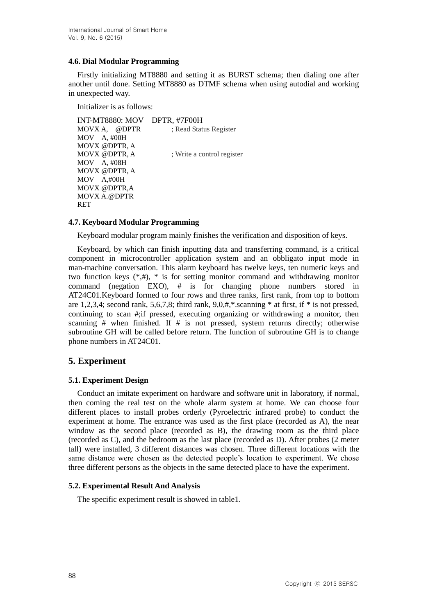## **4.6. Dial Modular Programming**

Firstly initializing MT8880 and setting it as BURST schema; then dialing one after another until done. Setting MT8880 as DTMF schema when using autodial and working in unexpected way.

Initializer is as follows:

INT-MT8880: MOV DPTR, #7F00H MOVX A, @DPTR ; Read Status Register MOV A, #00H MOVX @DPTR, A MOVX @DPTR, A ; Write a control register MOV A, #08H MOVX @DPTR, A MOV A,#00H MOVX @DPTR,A MOVX A.@DPTR RET

### **4.7. Keyboard Modular Programming**

Keyboard modular program mainly finishes the verification and disposition of keys.

Keyboard, by which can finish inputting data and transferring command, is a critical component in microcontroller application system and an obbligato input mode in man-machine conversation. This alarm keyboard has twelve keys, ten numeric keys and two function keys  $(*,#), *$  is for setting monitor command and withdrawing monitor command (negation EXO), # is for changing phone numbers stored in AT24C01.Keyboard formed to four rows and three ranks, first rank, from top to bottom are 1,2,3,4; second rank, 5,6,7,8; third rank, 9,0,#,\*.scanning \* at first, if \* is not pressed, continuing to scan #;if pressed, executing organizing or withdrawing a monitor, then scanning  $#$  when finished. If  $#$  is not pressed, system returns directly; otherwise subroutine GH will be called before return. The function of subroutine GH is to change phone numbers in AT24C01.

# **5. Experiment**

## **5.1. Experiment Design**

Conduct an imitate experiment on hardware and software unit in laboratory, if normal, then coming the real test on the whole alarm system at home. We can choose four different places to install probes orderly (Pyroelectric infrared probe) to conduct the experiment at home. The entrance was used as the first place (recorded as A), the near window as the second place (recorded as B), the drawing room as the third place (recorded as C), and the bedroom as the last place (recorded as D). After probes (2 meter tall) were installed, 3 different distances was chosen. Three different locations with the same distance were chosen as the detected people's location to experiment. We chose three different persons as the objects in the same detected place to have the experiment.

## **5.2. Experimental Result And Analysis**

The specific experiment result is showed in table1.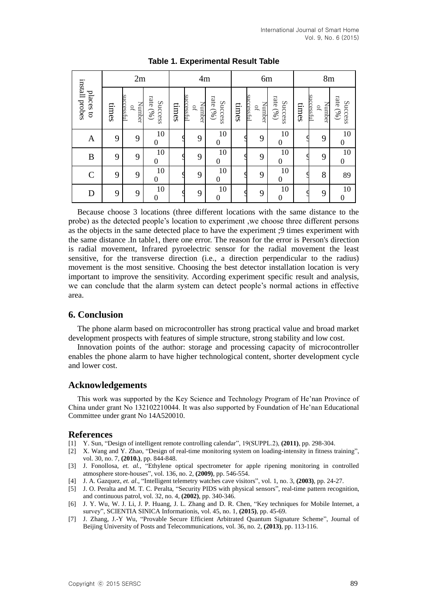| install probes<br>places to | 2m    |                                                  |                            | 4m    |                                  |                        | 6m    |                                                   |                               | 8 <sub>m</sub> |                                                   |                        |
|-----------------------------|-------|--------------------------------------------------|----------------------------|-------|----------------------------------|------------------------|-------|---------------------------------------------------|-------------------------------|----------------|---------------------------------------------------|------------------------|
|                             | times | accessful<br>Number<br>$\ensuremath{\mathsf{P}}$ | rate (%)<br><b>Success</b> | times | successful<br>Number<br>$\rm{P}$ | rate $(96)$<br>Success | times | successful<br>Number<br>$\ensuremath{\mathsf{P}}$ | rate $(96)$<br><b>Success</b> | times          | successful<br>Number<br>$\ensuremath{\mathsf{D}}$ | rate $(96)$<br>Success |
| $\mathbf{A}$                | 9     | 9                                                | 10<br>$\overline{0}$       |       | 9                                | 10<br>$\overline{0}$   |       | 9                                                 | 10<br>$\overline{0}$          |                | 9                                                 | 10<br>$\overline{0}$   |
| $\boldsymbol{B}$            | 9     | 9                                                | 10<br>$\boldsymbol{0}$     |       | 9                                | 10<br>$\boldsymbol{0}$ |       | 9                                                 | 10<br>$\theta$                |                | 9                                                 | 10<br>$\boldsymbol{0}$ |
| $\mathcal{C}$               | 9     | 9                                                | 10<br>$\boldsymbol{0}$     |       | 9                                | 10<br>$\boldsymbol{0}$ |       | 9                                                 | 10<br>$\overline{0}$          |                | 8                                                 | 89                     |
| D                           | 9     | 9                                                | 10<br>$\boldsymbol{0}$     |       | 9                                | 10<br>$\boldsymbol{0}$ |       | 9                                                 | 10<br>$\Omega$                |                | 9                                                 | 10<br>$\boldsymbol{0}$ |

**Table 1. Experimental Result Table**

Because choose 3 locations (three different locations with the same distance to the probe) as the detected people's location to experiment ,we choose three different persons as the objects in the same detected place to have the experiment ;9 times experiment with the same distance .In table1, there one error. The reason for the error is Person's direction is radial movement, Infrared pyroelectric sensor for the radial movement the least sensitive, for the transverse direction (i.e., a direction perpendicular to the radius) movement is the most sensitive. Choosing the best detector installation location is very important to improve the sensitivity. According experiment specific result and analysis, we can conclude that the alarm system can detect people's normal actions in effective area.

## **6. Conclusion**

The phone alarm based on microcontroller has strong practical value and broad market development prospects with features of simple structure, strong stability and low cost.

Innovation points of the author: storage and processing capacity of microcontroller enables the phone alarm to have higher technological content, shorter development cycle and lower cost.

#### **Acknowledgements**

This work was supported by the Key Science and Technology Program of He'nan Province of China under grant No 132102210044. It was also supported by Foundation of He'nan Educational Committee under grant No 14A520010.

#### **References**

- [1] Y. Sun, "Design of intelligent remote controlling calendar", 19(SUPPL.2), **(2011)**, pp. 298-304.
- [2] X. Wang and Y. Zhao, "Design of real-time monitoring system on loading-intensity in fitness training", vol. 30, no. 7, **(2010.)**, pp. 844-848.
- [3] J. Fonollosa, *et. al.*, "Ethylene optical spectrometer for apple ripening monitoring in controlled atmosphere store-houses", vol. 136, no. 2, **(2009)**, pp. 546-554.
- [4] J. A. Gazquez, *et. al*., "Intelligent telemetry watches cave visitors", vol. 1, no. 3, **(2003)**, pp. 24-27.
- [5] J. O. Peralta and M. T. C. Peralta, "Security PIDS with physical sensors", real-time pattern recognition, and continuous patrol, vol. 32, no. 4, **(2002)**, pp. 340-346.
- [6] J. Y. Wu, W. J. Li, J. P. Huang, J. L. Zhang and D. R. Chen, "Key techniques for Mobile Internet, a survey", SCIENTIA SINICA Informationis, vol. 45, no. 1, **(2015)**, pp. 45-69.
- [7] J. Zhang, J.-Y Wu, "Provable Secure Efficient Arbitrated Quantum Signature Scheme", Journal of Beijing University of Posts and Telecommunications, vol. 36, no. 2, **(2013)**, pp. 113-116.